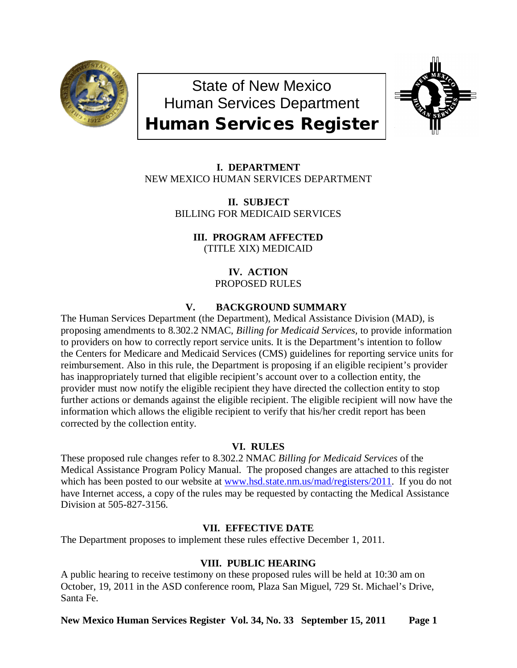

State of New Mexico Human Services Department Human Services Register



**I. DEPARTMENT** NEW MEXICO HUMAN SERVICES DEPARTMENT

> **II. SUBJECT** BILLING FOR MEDICAID SERVICES

> > **III. PROGRAM AFFECTED** (TITLE XIX) MEDICAID

> > > **IV. ACTION** PROPOSED RULES

# **V. BACKGROUND SUMMARY**

The Human Services Department (the Department), Medical Assistance Division (MAD), is proposing amendments to 8.302.2 NMAC, *Billing for Medicaid Services,* to provide information to providers on how to correctly report service units. It is the Department's intention to follow the Centers for Medicare and Medicaid Services (CMS) guidelines for reporting service units for reimbursement. Also in this rule, the Department is proposing if an eligible recipient's provider has inappropriately turned that eligible recipient's account over to a collection entity, the provider must now notify the eligible recipient they have directed the collection entity to stop further actions or demands against the eligible recipient. The eligible recipient will now have the information which allows the eligible recipient to verify that his/her credit report has been corrected by the collection entity.

### **VI. RULES**

These proposed rule changes refer to 8.302.2 NMAC *Billing for Medicaid Services* of the Medical Assistance Program Policy Manual. The proposed changes are attached to this register which has been posted to our website at [www.hsd.state.nm.us/mad/registers/2011.](http://www.hsd.state.nm.us/mad/registers/2011) If you do not have Internet access, a copy of the rules may be requested by contacting the Medical Assistance Division at 505-827-3156.

## **VII. EFFECTIVE DATE**

The Department proposes to implement these rules effective December 1, 2011.

## **VIII. PUBLIC HEARING**

A public hearing to receive testimony on these proposed rules will be held at 10:30 am on October, 19, 2011 in the ASD conference room, Plaza San Miguel, 729 St. Michael's Drive, Santa Fe.

**New Mexico Human Services Register Vol. 34, No. 33 September 15, 2011 Page 1**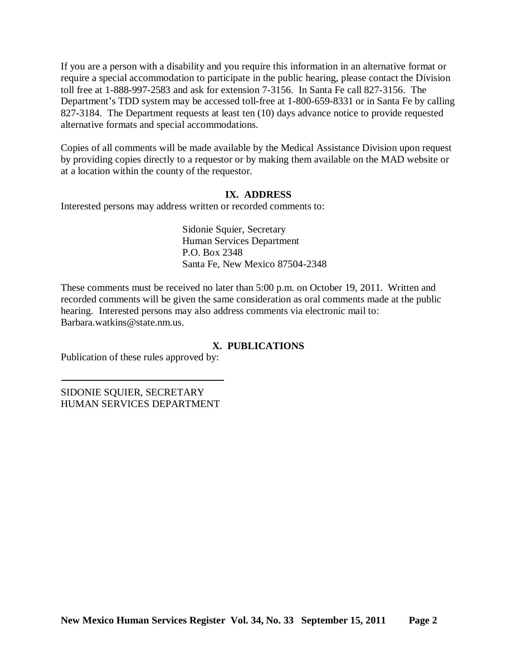If you are a person with a disability and you require this information in an alternative format or require a special accommodation to participate in the public hearing, please contact the Division toll free at 1-888-997-2583 and ask for extension 7-3156. In Santa Fe call 827-3156. The Department's TDD system may be accessed toll-free at 1-800-659-8331 or in Santa Fe by calling 827-3184. The Department requests at least ten (10) days advance notice to provide requested alternative formats and special accommodations.

Copies of all comments will be made available by the Medical Assistance Division upon request by providing copies directly to a requestor or by making them available on the MAD website or at a location within the county of the requestor.

## **IX. ADDRESS**

Interested persons may address written or recorded comments to:

Sidonie Squier, Secretary Human Services Department P.O. Box 2348 Santa Fe, New Mexico 87504-2348

These comments must be received no later than 5:00 p.m. on October 19, 2011. Written and recorded comments will be given the same consideration as oral comments made at the public hearing. Interested persons may also address comments via electronic mail to: Barbara.watkins@state.nm.us.

## **X. PUBLICATIONS**

Publication of these rules approved by:

SIDONIE SQUIER, SECRETARY HUMAN SERVICES DEPARTMENT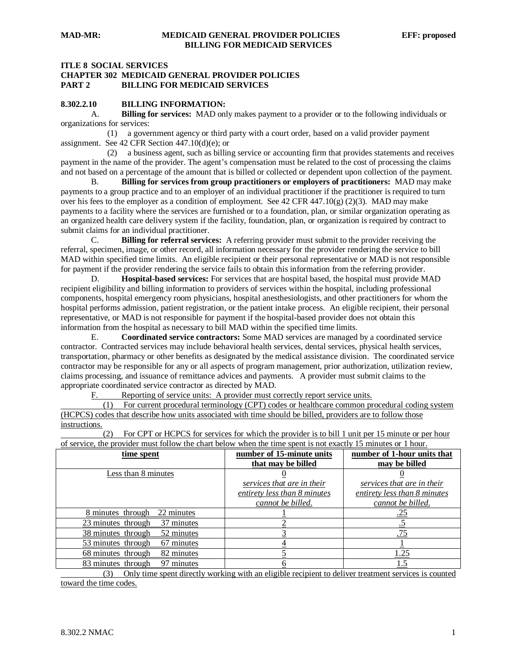### **ITLE 8 SOCIAL SERVICES CHAPTER 302 MEDICAID GENERAL PROVIDER POLICIES PART 2 BILLING FOR MEDICAID SERVICES**

### **8.302.2.10 BILLING INFORMATION:**

A. **Billing for services:** MAD only makes payment to a provider or to the following individuals or organizations for services:

 (1) a government agency or third party with a court order, based on a valid provider payment assignment. See 42 CFR Section 447.10(d)(e); or

 (2) a business agent, such as billing service or accounting firm that provides statements and receives payment in the name of the provider. The agent's compensation must be related to the cost of processing the claims and not based on a percentage of the amount that is billed or collected or dependent upon collection of the payment.

B. **Billing for services from group practitioners or employers of practitioners:** MAD may make payments to a group practice and to an employer of an individual practitioner if the practitioner is required to turn over his fees to the employer as a condition of employment. See 42 CFR 447.10(g) (2)(3). MAD may make payments to a facility where the services are furnished or to a foundation, plan, or similar organization operating as an organized health care delivery system if the facility, foundation, plan, or organization is required by contract to submit claims for an individual practitioner.

C. **Billing for referral services:** A referring provider must submit to the provider receiving the referral, specimen, image, or other record, all information necessary for the provider rendering the service to bill MAD within specified time limits. An eligible recipient or their personal representative or MAD is not responsible for payment if the provider rendering the service fails to obtain this information from the referring provider.

D. **Hospital-based services:** For services that are hospital based, the hospital must provide MAD recipient eligibility and billing information to providers of services within the hospital, including professional components, hospital emergency room physicians, hospital anesthesiologists, and other practitioners for whom the hospital performs admission, patient registration, or the patient intake process. An eligible recipient, their personal representative, or MAD is not responsible for payment if the hospital-based provider does not obtain this information from the hospital as necessary to bill MAD within the specified time limits.

E. **Coordinated service contractors:** Some MAD services are managed by a coordinated service contractor. Contracted services may include behavioral health services, dental services, physical health services, transportation, pharmacy or other benefits as designated by the medical assistance division. The coordinated service contractor may be responsible for any or all aspects of program management, prior authorization, utilization review, claims processing, and issuance of remittance advices and payments. A provider must submit claims to the appropriate coordinated service contractor as directed by MAD.

Reporting of service units: A provider must correctly report service units.<br>(1) For current procedural terminology (CPT) codes or healthcare common pr

 (1) For current procedural terminology (CPT) codes or healthcare common procedural coding system (HCPCS) codes that describe how units associated with time should be billed, providers are to follow those instructions.

 (2) For CPT or HCPCS for services for which the provider is to bill 1 unit per 15 minute or per hour of service, the provider must follow the chart below when the time spent is not exactly 15 minutes or 1 hour.

| time spent                       | number of 15-minute units    | number of 1-hour units that  |
|----------------------------------|------------------------------|------------------------------|
|                                  | that may be billed           | may be billed                |
| Less than 8 minutes              |                              |                              |
|                                  | services that are in their   | services that are in their   |
|                                  | entirety less than 8 minutes | entirety less than 8 minutes |
|                                  | cannot be billed.            | cannot be billed.            |
| 22 minutes<br>8 minutes through  |                              |                              |
| 37 minutes<br>23 minutes through |                              |                              |
| 52 minutes<br>38 minutes through |                              | .75                          |
| 53 minutes through<br>67 minutes |                              |                              |
| 68 minutes through<br>82 minutes |                              | 1.25                         |
| 97 minutes<br>83 minutes through |                              | 1.5                          |

 (3) Only time spent directly working with an eligible recipient to deliver treatment services is counted toward the time codes.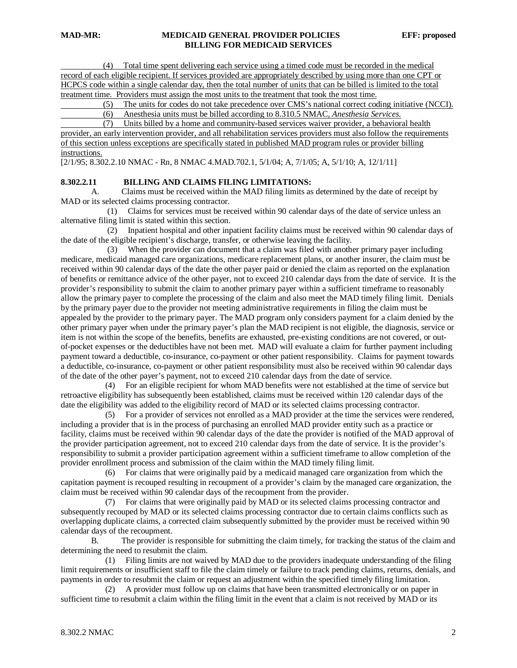(4) Total time spent delivering each service using a timed code must be recorded in the medical record of each eligible recipient. If services provided are appropriately described by using more than one CPT or HCPCS code within a single calendar day, then the total number of units that can be billed is limited to the total treatment time. Providers must assign the most units to the treatment that took the most time.

(5) The units for codes do not take precedence over CMS's national correct coding initiative (NCCI).

(6) Anesthesia units must be billed according to 8.310.5 NMAC*, Anesthesia Services*.

 (7) Units billed by a home and community-based services waiver provider, a behavioral health provider, an early intervention provider, and all rehabilitation services providers must also follow the requirements of this section unless exceptions are specifically stated in published MAD program rules or provider billing instructions.

[2/1/95; 8.302.2.10 NMAC - Rn, 8 NMAC 4.MAD.702.1, 5/1/04; A, 7/1/05; A, 5/1/10; A, 12/1/11]

#### **8.302.2.11 BILLING AND CLAIMS FILING LIMITATIONS:**

A. Claims must be received within the MAD filing limits as determined by the date of receipt by MAD or its selected claims processing contractor.

 (1) Claims for services must be received within 90 calendar days of the date of service unless an alternative filing limit is stated within this section.

 (2) Inpatient hospital and other inpatient facility claims must be received within 90 calendar days of the date of the eligible recipient's discharge, transfer, or otherwise leaving the facility.

 (3) When the provider can document that a claim was filed with another primary payer including medicare, medicaid managed care organizations, medicare replacement plans, or another insurer, the claim must be received within 90 calendar days of the date the other payer paid or denied the claim as reported on the explanation of benefits or remittance advice of the other payer, not to exceed 210 calendar days from the date of service. It is the provider's responsibility to submit the claim to another primary payer within a sufficient timeframe to reasonably allow the primary payer to complete the processing of the claim and also meet the MAD timely filing limit. Denials by the primary payer due to the provider not meeting administrative requirements in filing the claim must be appealed by the provider to the primary payer. The MAD program only considers payment for a claim denied by the other primary payer when under the primary payer's plan the MAD recipient is not eligible, the diagnosis, service or item is not within the scope of the benefits, benefits are exhausted, pre-existing conditions are not covered, or outof-pocket expenses or the deductibles have not been met. MAD will evaluate a claim for further payment including payment toward a deductible, co-insurance, co-payment or other patient responsibility. Claims for payment towards a deductible, co-insurance, co-payment or other patient responsibility must also be received within 90 calendar days of the date of the other payer's payment, not to exceed 210 calendar days from the date of service.

 (4) For an eligible recipient for whom MAD benefits were not established at the time of service but retroactive eligibility has subsequently been established, claims must be received within 120 calendar days of the date the eligibility was added to the eligibility record of MAD or its selected claims processing contractor.

 (5) For a provider of services not enrolled as a MAD provider at the time the services were rendered, including a provider that is in the process of purchasing an enrolled MAD provider entity such as a practice or facility, claims must be received within 90 calendar days of the date the provider is notified of the MAD approval of the provider participation agreement, not to exceed 210 calendar days from the date of service. It is the provider's responsibility to submit a provider participation agreement within a sufficient timeframe to allow completion of the provider enrollment process and submission of the claim within the MAD timely filing limit.

 (6) For claims that were originally paid by a medicaid managed care organization from which the capitation payment is recouped resulting in recoupment of a provider's claim by the managed care organization, the claim must be received within 90 calendar days of the recoupment from the provider.

 (7) For claims that were originally paid by MAD or its selected claims processing contractor and subsequently recouped by MAD or its selected claims processing contractor due to certain claims conflicts such as overlapping duplicate claims, a corrected claim subsequently submitted by the provider must be received within 90 calendar days of the recoupment.

B. The provider is responsible for submitting the claim timely, for tracking the status of the claim and determining the need to resubmit the claim.

 (1) Filing limits are not waived by MAD due to the providers inadequate understanding of the filing limit requirements or insufficient staff to file the claim timely or failure to track pending claims, returns, denials, and payments in order to resubmit the claim or request an adjustment within the specified timely filing limitation.

 (2) A provider must follow up on claims that have been transmitted electronically or on paper in sufficient time to resubmit a claim within the filing limit in the event that a claim is not received by MAD or its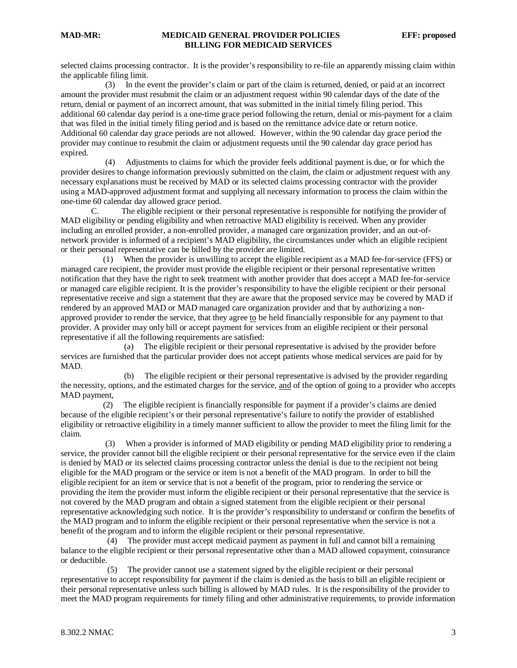selected claims processing contractor. It is the provider's responsibility to re-file an apparently missing claim within the applicable filing limit.

 (3) In the event the provider's claim or part of the claim is returned, denied, or paid at an incorrect amount the provider must resubmit the claim or an adjustment request within 90 calendar days of the date of the return, denial or payment of an incorrect amount, that was submitted in the initial timely filing period. This additional 60 calendar day period is a one-time grace period following the return, denial or mis-payment for a claim that was filed in the initial timely filing period and is based on the remittance advice date or return notice. Additional 60 calendar day grace periods are not allowed. However, within the 90 calendar day grace period the provider may continue to resubmit the claim or adjustment requests until the 90 calendar day grace period has expired.

 (4) Adjustments to claims for which the provider feels additional payment is due, or for which the provider desires to change information previously submitted on the claim, the claim or adjustment request with any necessary explanations must be received by MAD or its selected claims processing contractor with the provider using a MAD-approved adjustment format and supplying all necessary information to process the claim within the one-time 60 calendar day allowed grace period.

C. The eligible recipient or their personal representative is responsible for notifying the provider of MAD eligibility or pending eligibility and when retroactive MAD eligibility is received. When any provider including an enrolled provider, a non-enrolled provider, a managed care organization provider, and an out-ofnetwork provider is informed of a recipient's MAD eligibility, the circumstances under which an eligible recipient or their personal representative can be billed by the provider are limited.

 (1) When the provider is unwilling to accept the eligible recipient as a MAD fee-for-service (FFS) or managed care recipient, the provider must provide the eligible recipient or their personal representative written notification that they have the right to seek treatment with another provider that does accept a MAD fee-for-service or managed care eligible recipient. It is the provider's responsibility to have the eligible recipient or their personal representative receive and sign a statement that they are aware that the proposed service may be covered by MAD if rendered by an approved MAD or MAD managed care organization provider and that by authorizing a nonapproved provider to render the service, that they agree  $\underline{to}$  be held financially responsible for any payment to that provider. A provider may only bill or accept payment for services from an eligible recipient or their personal representative if all the following requirements are satisfied:

 (a) The eligible recipient or their personal representative is advised by the provider before services are furnished that the particular provider does not accept patients whose medical services are paid for by MAD.

 (b) The eligible recipient or their personal representative is advised by the provider regarding the necessity, options, and the estimated charges for the service, and of the option of going to a provider who accepts MAD payment,

 (2) The eligible recipient is financially responsible for payment if a provider's claims are denied because of the eligible recipient's or their personal representative's failure to notify the provider of established eligibility or retroactive eligibility in a timely manner sufficient to allow the provider to meet the filing limit for the claim.

 (3) When a provider is informed of MAD eligibility or pending MAD eligibility prior to rendering a service, the provider cannot bill the eligible recipient or their personal representative for the service even if the claim is denied by MAD or its selected claims processing contractor unless the denial is due to the recipient not being eligible for the MAD program or the service or item is not a benefit of the MAD program. In order to bill the eligible recipient for an item or service that is not a benefit of the program, prior to rendering the service or providing the item the provider must inform the eligible recipient or their personal representative that the service is not covered by the MAD program and obtain a signed statement from the eligible recipient or their personal representative acknowledging such notice. It is the provider's responsibility to understand or confirm the benefits of the MAD program and to inform the eligible recipient or their personal representative when the service is not a benefit of the program and to inform the eligible recipient or their personal representative.

 (4) The provider must accept medicaid payment as payment in full and cannot bill a remaining balance to the eligible recipient or their personal representative other than a MAD allowed copayment, coinsurance or deductible.

 (5) The provider cannot use a statement signed by the eligible recipient or their personal representative to accept responsibility for payment if the claim is denied as the basis to bill an eligible recipient or their personal representative unless such billing is allowed by MAD rules. It is the responsibility of the provider to meet the MAD program requirements for timely filing and other administrative requirements, to provide information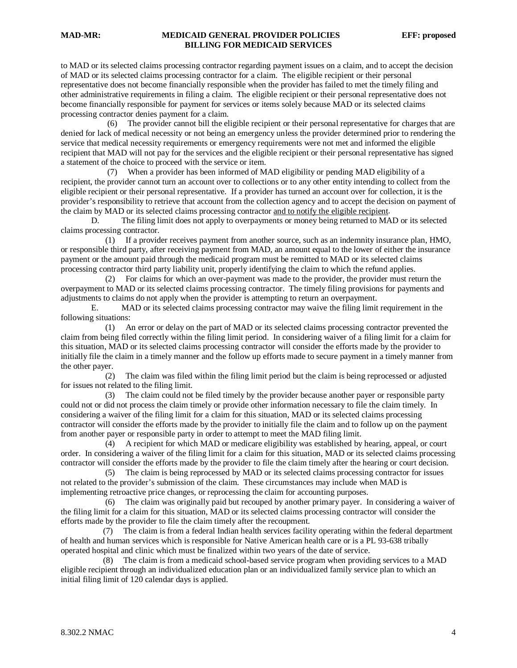### **MAD-MR: MEDICAID GENERAL PROVIDER POLICIES EFF: proposed BILLING FOR MEDICAID SERVICES**

to MAD or its selected claims processing contractor regarding payment issues on a claim, and to accept the decision of MAD or its selected claims processing contractor for a claim. The eligible recipient or their personal representative does not become financially responsible when the provider has failed to met the timely filing and other administrative requirements in filing a claim. The eligible recipient or their personal representative does not become financially responsible for payment for services or items solely because MAD or its selected claims processing contractor denies payment for a claim.

 (6) The provider cannot bill the eligible recipient or their personal representative for charges that are denied for lack of medical necessity or not being an emergency unless the provider determined prior to rendering the service that medical necessity requirements or emergency requirements were not met and informed the eligible recipient that MAD will not pay for the services and the eligible recipient or their personal representative has signed a statement of the choice to proceed with the service or item.

 (7) When a provider has been informed of MAD eligibility or pending MAD eligibility of a recipient, the provider cannot turn an account over to collections or to any other entity intending to collect from the eligible recipient or their personal representative. If a provider has turned an account over for collection, it is the provider's responsibility to retrieve that account from the collection agency and to accept the decision on payment of the claim by MAD or its selected claims processing contractor and to notify the eligible recipient.

D. The filing limit does not apply to overpayments or money being returned to MAD or its selected claims processing contractor.

 (1) If a provider receives payment from another source, such as an indemnity insurance plan, HMO, or responsible third party, after receiving payment from MAD, an amount equal to the lower of either the insurance payment or the amount paid through the medicaid program must be remitted to MAD or its selected claims processing contractor third party liability unit, properly identifying the claim to which the refund applies.

 (2) For claims for which an over-payment was made to the provider, the provider must return the overpayment to MAD or its selected claims processing contractor. The timely filing provisions for payments and adjustments to claims do not apply when the provider is attempting to return an overpayment.

E. MAD or its selected claims processing contractor may waive the filing limit requirement in the following situations:

 (1) An error or delay on the part of MAD or its selected claims processing contractor prevented the claim from being filed correctly within the filing limit period. In considering waiver of a filing limit for a claim for this situation, MAD or its selected claims processing contractor will consider the efforts made by the provider to initially file the claim in a timely manner and the follow up efforts made to secure payment in a timely manner from the other payer.

 (2) The claim was filed within the filing limit period but the claim is being reprocessed or adjusted for issues not related to the filing limit.

 (3) The claim could not be filed timely by the provider because another payer or responsible party could not or did not process the claim timely or provide other information necessary to file the claim timely. In considering a waiver of the filing limit for a claim for this situation, MAD or its selected claims processing contractor will consider the efforts made by the provider to initially file the claim and to follow up on the payment from another payer or responsible party in order to attempt to meet the MAD filing limit.

 (4) A recipient for which MAD or medicare eligibility was established by hearing, appeal, or court order. In considering a waiver of the filing limit for a claim for this situation, MAD or its selected claims processing contractor will consider the efforts made by the provider to file the claim timely after the hearing or court decision.

 (5) The claim is being reprocessed by MAD or its selected claims processing contractor for issues not related to the provider's submission of the claim. These circumstances may include when MAD is implementing retroactive price changes, or reprocessing the claim for accounting purposes.

 (6) The claim was originally paid but recouped by another primary payer. In considering a waiver of the filing limit for a claim for this situation, MAD or its selected claims processing contractor will consider the efforts made by the provider to file the claim timely after the recoupment.

 (7) The claim is from a federal Indian health services facility operating within the federal department of health and human services which is responsible for Native American health care or is a PL 93-638 tribally operated hospital and clinic which must be finalized within two years of the date of service.

 (8) The claim is from a medicaid school-based service program when providing services to a MAD eligible recipient through an individualized education plan or an individualized family service plan to which an initial filing limit of 120 calendar days is applied.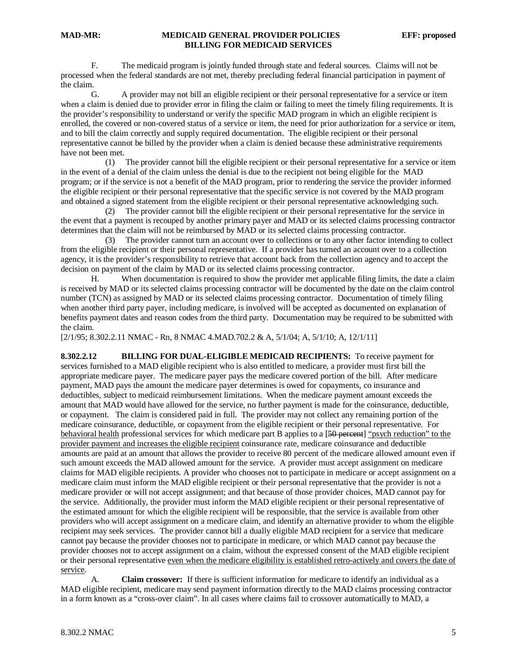### **MAD-MR: MEDICAID GENERAL PROVIDER POLICIES EFF: proposed BILLING FOR MEDICAID SERVICES**

F. The medicaid program is jointly funded through state and federal sources. Claims will not be processed when the federal standards are not met, thereby precluding federal financial participation in payment of the claim.

G. A provider may not bill an eligible recipient or their personal representative for a service or item when a claim is denied due to provider error in filing the claim or failing to meet the timely filing requirements. It is the provider's responsibility to understand or verify the specific MAD program in which an eligible recipient is enrolled, the covered or non-covered status of a service or item, the need for prior authorization for a service or item, and to bill the claim correctly and supply required documentation. The eligible recipient or their personal representative cannot be billed by the provider when a claim is denied because these administrative requirements have not been met.

 (1) The provider cannot bill the eligible recipient or their personal representative for a service or item in the event of a denial of the claim unless the denial is due to the recipient not being eligible for the MAD program; or if the service is not a benefit of the MAD program, prior to rendering the service the provider informed the eligible recipient or their personal representative that the specific service is not covered by the MAD program and obtained a signed statement from the eligible recipient or their personal representative acknowledging such.

 (2) The provider cannot bill the eligible recipient or their personal representative for the service in the event that a payment is recouped by another primary payer and MAD or its selected claims processing contractor determines that the claim will not be reimbursed by MAD or its selected claims processing contractor.

 (3) The provider cannot turn an account over to collections or to any other factor intending to collect from the eligible recipient or their personal representative. If a provider has turned an account over to a collection agency, it is the provider's responsibility to retrieve that account back from the collection agency and to accept the decision on payment of the claim by MAD or its selected claims processing contractor.

H. When documentation is required to show the provider met applicable filing limits, the date a claim is received by MAD or its selected claims processing contractor will be documented by the date on the claim control number (TCN) as assigned by MAD or its selected claims processing contractor. Documentation of timely filing when another third party payer, including medicare, is involved will be accepted as documented on explanation of benefits payment dates and reason codes from the third party. Documentation may be required to be submitted with the claim.

[2/1/95; 8.302.2.11 NMAC - Rn, 8 NMAC 4.MAD.702.2 & A, 5/1/04; A, 5/1/10; A, 12/1/11]

**8.302.2.12 BILLING FOR DUAL-ELIGIBLE MEDICAID RECIPIENTS:** To receive payment for services furnished to a MAD eligible recipient who is also entitled to medicare, a provider must first bill the appropriate medicare payer. The medicare payer pays the medicare covered portion of the bill. After medicare payment, MAD pays the amount the medicare payer determines is owed for copayments, co insurance and deductibles, subject to medicaid reimbursement limitations. When the medicare payment amount exceeds the amount that MAD would have allowed for the service, no further payment is made for the coinsurance, deductible, or copayment. The claim is considered paid in full. The provider may not collect any remaining portion of the medicare coinsurance, deductible, or copayment from the eligible recipient or their personal representative. For behavioral health professional services for which medicare part B applies to a [50 percent] "psych reduction" to the provider payment and increases the eligible recipient coinsurance rate, medicare coinsurance and deductible amounts are paid at an amount that allows the provider to receive 80 percent of the medicare allowed amount even if such amount exceeds the MAD allowed amount for the service. A provider must accept assignment on medicare claims for MAD eligible recipients. A provider who chooses not to participate in medicare or accept assignment on a medicare claim must inform the MAD eligible recipient or their personal representative that the provider is not a medicare provider or will not accept assignment; and that because of those provider choices, MAD cannot pay for the service. Additionally, the provider must inform the MAD eligible recipient or their personal representative of the estimated amount for which the eligible recipient will be responsible, that the service is available from other providers who will accept assignment on a medicare claim, and identify an alternative provider to whom the eligible recipient may seek services. The provider cannot bill a dually eligible MAD recipient for a service that medicare cannot pay because the provider chooses not to participate in medicare, or which MAD cannot pay because the provider chooses not to accept assignment on a claim, without the expressed consent of the MAD eligible recipient or their personal representative even when the medicare eligibility is established retro-actively and covers the date of service.

A. **Claim crossover:** If there is sufficient information for medicare to identify an individual as a MAD eligible recipient, medicare may send payment information directly to the MAD claims processing contractor in a form known as a "cross-over claim". In all cases where claims fail to crossover automatically to MAD, a